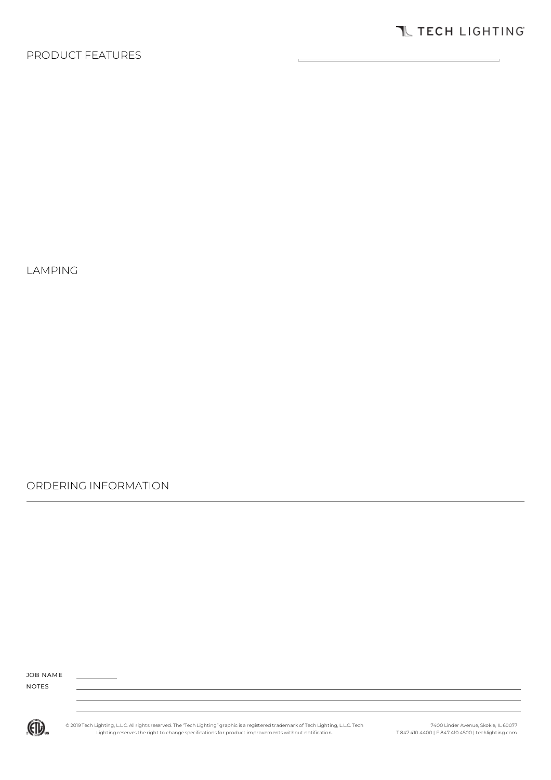### PRODUCT FEATURES

LAMPING

ORDERING INFORMATION

JOB NAME NOTES



© 2019 Tech Lighting, L.L.C. All rights reserved. The "Tech Lighting" graphic is a registered trademark of Tech Lighting, L.L.C. Tech<br>Lighting reserves the right to change specifications for product improvements without no

7400 Linder Avenue, Skokie, IL 60077 T 847.410.4400 | F 847.410.4500 | techlighting.com